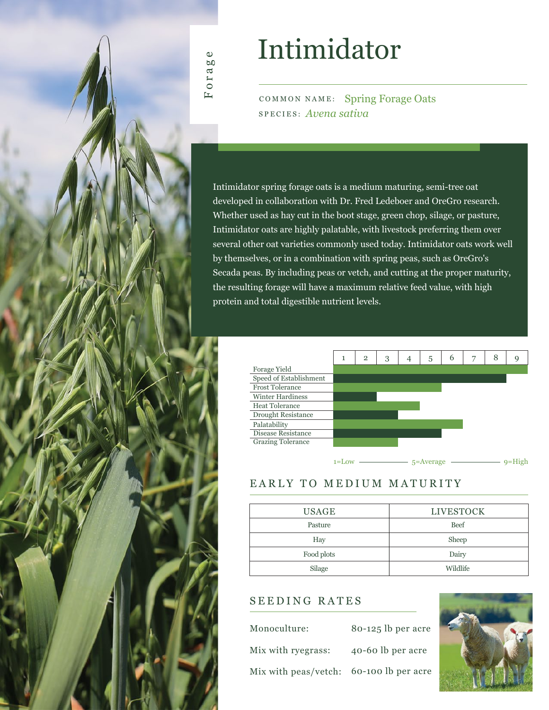

# Intimidator

COMMON NAME: Spring Forage Oats SPECIES: *Avena sativa*

Intimidator spring forage oats is a medium maturing, semi-tree oat developed in collaboration with Dr. Fred Ledeboer and OreGro research. Whether used as hay cut in the boot stage, green chop, silage, or pasture, Intimidator oats are highly palatable, with livestock preferring them over several other oat varieties commonly used today. Intimidator oats work well by themselves, or in a combination with spring peas, such as OreGro's Secada peas. By including peas or vetch, and cutting at the proper maturity, the resulting forage will have a maximum relative feed value, with high protein and total digestible nutrient levels.



## EARLY TO MEDIUM MATURITY

| <b>USAGE</b> | <b>LIVESTOCK</b> |  |  |  |  |  |
|--------------|------------------|--|--|--|--|--|
| Pasture      | <b>Beef</b>      |  |  |  |  |  |
| Hay          | Sheep            |  |  |  |  |  |
| Food plots   | Dairy            |  |  |  |  |  |
| Silage       | Wildlife         |  |  |  |  |  |

### SEEDING RATES

| Monoculture:                            | 80-125 lb per acre |
|-----------------------------------------|--------------------|
| Mix with ryegrass:                      | 40-60 lb per acre  |
| Mix with peas/vetch: 60-100 lb per acre |                    |